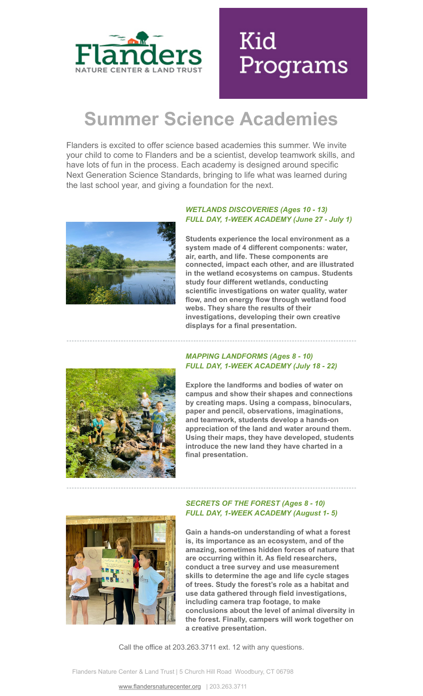

# Kid Programs

# **Summer Science Academies**

Flanders is excited to offer science based academies this summer. We invite your child to come to Flanders and be a scientist, develop teamwork skills, and have lots of fun in the process. Each academy is designed around specific Next Generation Science Standards, bringing to life what was learned during the last school year, and giving a foundation for the next.



#### *WETLANDS DISCOVERIES (Ages 10 - 13) FULL DAY, 1-WEEK ACADEMY (June 27 - July 1)*

**Students experience the local environment as a system made of 4 different components: water, air, earth, and life. These components are connected, impact each other, and are illustrated in the wetland ecosystems on campus. Students study four different wetlands, conducting scientific investigations on water quality, water flow, and on energy flow through wetland food webs. They share the results of their investigations, developing their own creative displays for a final presentation.**



## *MAPPING LANDFORMS (Ages 8 - 10) FULL DAY, 1-WEEK ACADEMY (July 18 - 22)*

**Explore the landforms and bodies of water on campus and show their shapes and connections by creating maps. Using a compass, binoculars, paper and pencil, observations, imaginations, and teamwork, students develop a hands-on appreciation of the land and water around them. Using their maps, they have developed, students introduce the new land they have charted in a final presentation.**



## *SECRETS OF THE FOREST (Ages 8 - 10) FULL DAY, 1-WEEK ACADEMY (August 1- 5)*

**Gain a hands-on understanding of what a forest is, its importance as an ecosystem, and of the amazing, sometimes hidden forces of nature that are occurring within it. As field researchers, conduct a tree survey and use measurement skills to determine the age and life cycle stages of trees. Study the forest's role as a habitat and use data gathered through field investigations, including camera trap footage, to make conclusions about the level of animal diversity in the forest. Finally, campers will work together on a creative presentation.**

Call the office at 203.263.3711 ext. 12 with any questions.